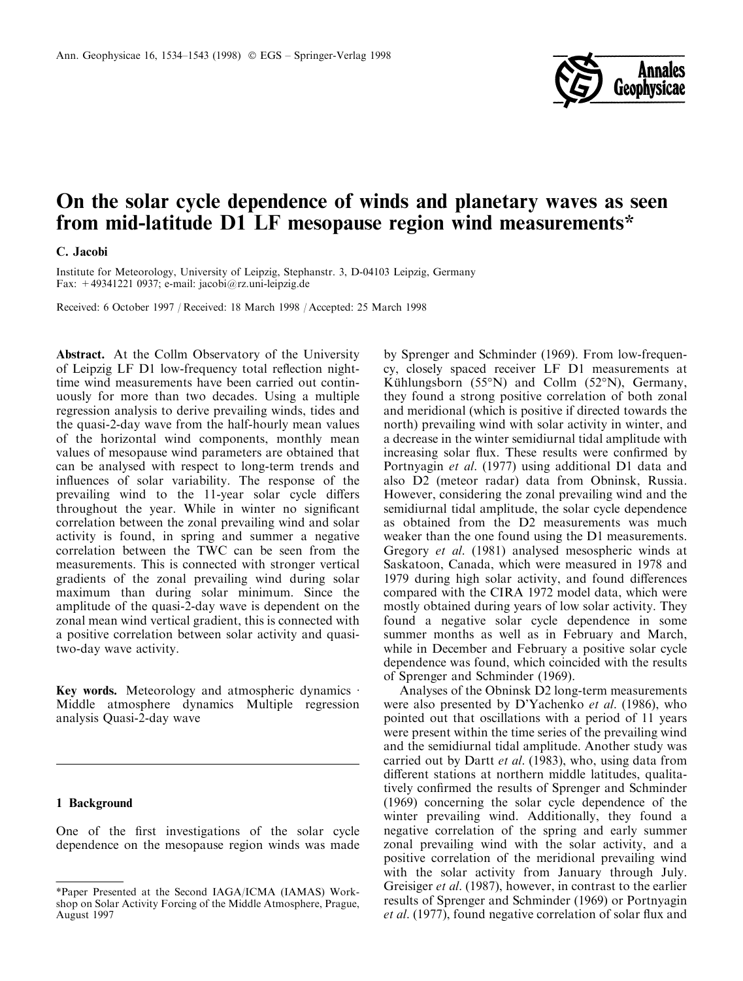

# On the solar cycle dependence of winds and planetary waves as seen from mid-latitude D1 LF mesopause region wind measurements\*

## C. Jacobi

Institute for Meteorology, University of Leipzig, Stephanstr. 3, D-04103 Leipzig, Germany Fax: +49341221 0937; e-mail: jacobi@rz.uni-leipzig.de

Received: 6 October 1997 / Received: 18 March 1998 / Accepted: 25 March 1998

Abstract. At the Collm Observatory of the University of Leipzig LF D1 low-frequency total reflection nighttime wind measurements have been carried out continuously for more than two decades. Using a multiple regression analysis to derive prevailing winds, tides and the quasi-2-day wave from the half-hourly mean values of the horizontal wind components, monthly mean values of mesopause wind parameters are obtained that can be analysed with respect to long-term trends and influences of solar variability. The response of the prevailing wind to the 11-year solar cycle differs throughout the year. While in winter no significant correlation between the zonal prevailing wind and solar activity is found, in spring and summer a negative correlation between the TWC can be seen from the measurements. This is connected with stronger vertical gradients of the zonal prevailing wind during solar maximum than during solar minimum. Since the amplitude of the quasi-2-day wave is dependent on the zonal mean wind vertical gradient, this is connected with a positive correlation between solar activity and quasitwo-day wave activity.

Key words. Meteorology and atmospheric dynamics  $\cdot$ Middle atmosphere dynamics Multiple regression analysis Quasi-2-day wave

## 1 Background

One of the first investigations of the solar cycle dependence on the mesopause region winds was made

by Sprenger and Schminder (1969). From low-frequency, closely spaced receiver LF D1 measurements at Kühlungsborn (55°N) and Collm (52°N), Germany, they found a strong positive correlation of both zonal and meridional (which is positive if directed towards the north) prevailing wind with solar activity in winter, and a decrease in the winter semidiurnal tidal amplitude with increasing solar flux. These results were confirmed by Portnyagin et al. (1977) using additional D1 data and also D2 (meteor radar) data from Obninsk, Russia. However, considering the zonal prevailing wind and the semidiurnal tidal amplitude, the solar cycle dependence as obtained from the D2 measurements was much weaker than the one found using the D1 measurements. Gregory et al. (1981) analysed mesospheric winds at Saskatoon, Canada, which were measured in 1978 and 1979 during high solar activity, and found differences compared with the CIRA 1972 model data, which were mostly obtained during years of low solar activity. They found a negative solar cycle dependence in some summer months as well as in February and March, while in December and February a positive solar cycle dependence was found, which coincided with the results of Sprenger and Schminder (1969).

Analyses of the Obninsk D2 long-term measurements were also presented by D'Yachenko et al. (1986), who pointed out that oscillations with a period of 11 years were present within the time series of the prevailing wind and the semidiurnal tidal amplitude. Another study was carried out by Dartt *et al.* (1983), who, using data from different stations at northern middle latitudes, qualitatively confirmed the results of Sprenger and Schminder (1969) concerning the solar cycle dependence of the winter prevailing wind. Additionally, they found a negative correlation of the spring and early summer zonal prevailing wind with the solar activity, and a positive correlation of the meridional prevailing wind with the solar activity from January through July. Greisiger *et al.* (1987), however, in contrast to the earlier results of Sprenger and Schminder (1969) or Portnyagin *et al.* (1977), found negative correlation of solar flux and

<sup>\*</sup>Paper Presented at the Second IAGA/ICMA (IAMAS) Workshop on Solar Activity Forcing of the Middle Atmosphere, Prague, August 1997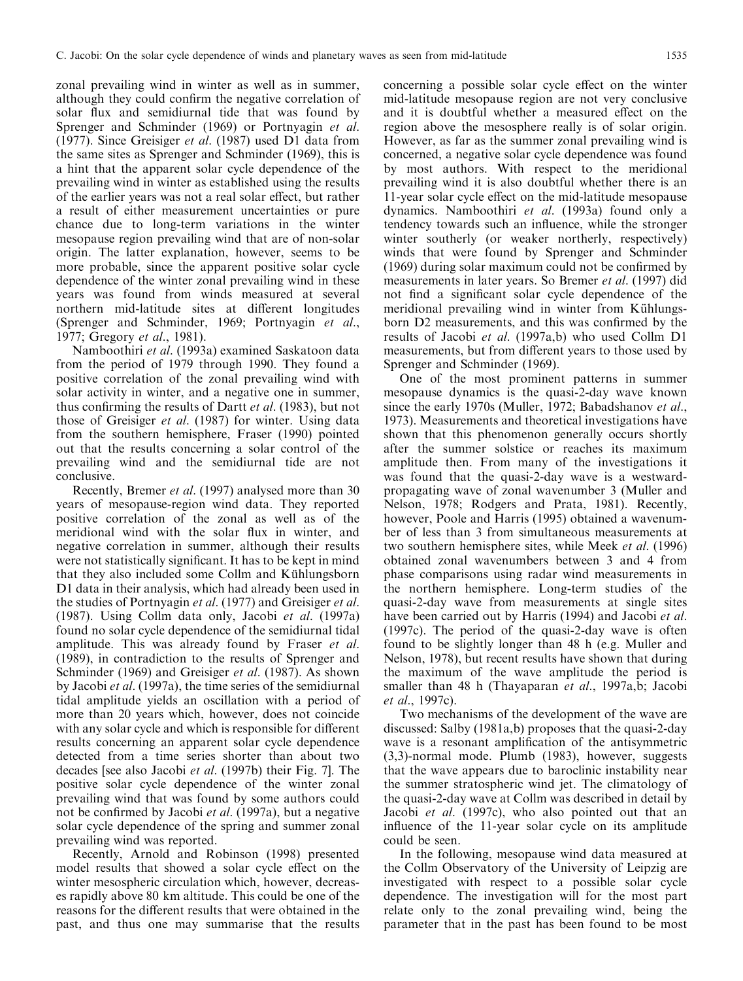zonal prevailing wind in winter as well as in summer, although they could confirm the negative correlation of solar flux and semidiurnal tide that was found by Sprenger and Schminder (1969) or Portnyagin et al. (1977). Since Greisiger et al. (1987) used D1 data from the same sites as Sprenger and Schminder (1969), this is a hint that the apparent solar cycle dependence of the prevailing wind in winter as established using the results of the earlier years was not a real solar effect, but rather a result of either measurement uncertainties or pure chance due to long-term variations in the winter mesopause region prevailing wind that are of non-solar origin. The latter explanation, however, seems to be more probable, since the apparent positive solar cycle dependence of the winter zonal prevailing wind in these years was found from winds measured at several northern mid-latitude sites at different longitudes (Sprenger and Schminder, 1969; Portnyagin et al., 1977; Gregory et al., 1981).

Namboothiri et al. (1993a) examined Saskatoon data from the period of 1979 through 1990. They found a positive correlation of the zonal prevailing wind with solar activity in winter, and a negative one in summer, thus confirming the results of Dartt *et al.* (1983), but not those of Greisiger et al. (1987) for winter. Using data from the southern hemisphere, Fraser (1990) pointed out that the results concerning a solar control of the prevailing wind and the semidiurnal tide are not conclusive.

Recently, Bremer et al. (1997) analysed more than 30 years of mesopause-region wind data. They reported positive correlation of the zonal as well as of the meridional wind with the solar flux in winter, and negative correlation in summer, although their results were not statistically significant. It has to be kept in mind that they also included some Collm and Kühlungsborn D1 data in their analysis, which had already been used in the studies of Portnyagin et al. (1977) and Greisiger et al. (1987). Using Collm data only, Jacobi et al. (1997a) found no solar cycle dependence of the semidiurnal tidal amplitude. This was already found by Fraser et al. (1989), in contradiction to the results of Sprenger and Schminder (1969) and Greisiger *et al.* (1987). As shown by Jacobi et al. (1997a), the time series of the semidiurnal tidal amplitude yields an oscillation with a period of more than 20 years which, however, does not coincide with any solar cycle and which is responsible for different results concerning an apparent solar cycle dependence detected from a time series shorter than about two decades [see also Jacobi et al. (1997b) their Fig. 7]. The positive solar cycle dependence of the winter zonal prevailing wind that was found by some authors could not be confirmed by Jacobi *et al.* (1997a), but a negative solar cycle dependence of the spring and summer zonal prevailing wind was reported.

Recently, Arnold and Robinson (1998) presented model results that showed a solar cycle effect on the winter mesospheric circulation which, however, decreases rapidly above 80 km altitude. This could be one of the reasons for the different results that were obtained in the past, and thus one may summarise that the results

concerning a possible solar cycle effect on the winter mid-latitude mesopause region are not very conclusive and it is doubtful whether a measured effect on the region above the mesosphere really is of solar origin. However, as far as the summer zonal prevailing wind is concerned, a negative solar cycle dependence was found by most authors. With respect to the meridional prevailing wind it is also doubtful whether there is an 11-year solar cycle effect on the mid-latitude mesopause dynamics. Namboothiri et al. (1993a) found only a tendency towards such an influence, while the stronger winter southerly (or weaker northerly, respectively) winds that were found by Sprenger and Schminder  $(1969)$  during solar maximum could not be confirmed by measurements in later years. So Bremer et al. (1997) did not find a significant solar cycle dependence of the meridional prevailing wind in winter from Kühlungsborn D2 measurements, and this was confirmed by the results of Jacobi et al. (1997a,b) who used Collm D1 measurements, but from different years to those used by Sprenger and Schminder (1969).

One of the most prominent patterns in summer mesopause dynamics is the quasi-2-day wave known since the early 1970s (Muller, 1972; Babadshanov et al., 1973). Measurements and theoretical investigations have shown that this phenomenon generally occurs shortly after the summer solstice or reaches its maximum amplitude then. From many of the investigations it was found that the quasi-2-day wave is a westwardpropagating wave of zonal wavenumber 3 (Muller and Nelson, 1978; Rodgers and Prata, 1981). Recently, however, Poole and Harris (1995) obtained a wavenumber of less than 3 from simultaneous measurements at two southern hemisphere sites, while Meek et al. (1996) obtained zonal wavenumbers between 3 and 4 from phase comparisons using radar wind measurements in the northern hemisphere. Long-term studies of the quasi-2-day wave from measurements at single sites have been carried out by Harris (1994) and Jacobi *et al.* (1997c). The period of the quasi-2-day wave is often found to be slightly longer than 48 h (e.g. Muller and Nelson, 1978), but recent results have shown that during the maximum of the wave amplitude the period is smaller than 48 h (Thayaparan et al., 1997a,b; Jacobi et al., 1997c).

Two mechanisms of the development of the wave are discussed: Salby (1981a,b) proposes that the quasi-2-day wave is a resonant amplification of the antisymmetric (3,3)-normal mode. Plumb (1983), however, suggests that the wave appears due to baroclinic instability near the summer stratospheric wind jet. The climatology of the quasi-2-day wave at Collm was described in detail by Jacobi *et al.* (1997c), who also pointed out that an influence of the 11-year solar cycle on its amplitude could be seen.

In the following, mesopause wind data measured at the Collm Observatory of the University of Leipzig are investigated with respect to a possible solar cycle dependence. The investigation will for the most part relate only to the zonal prevailing wind, being the parameter that in the past has been found to be most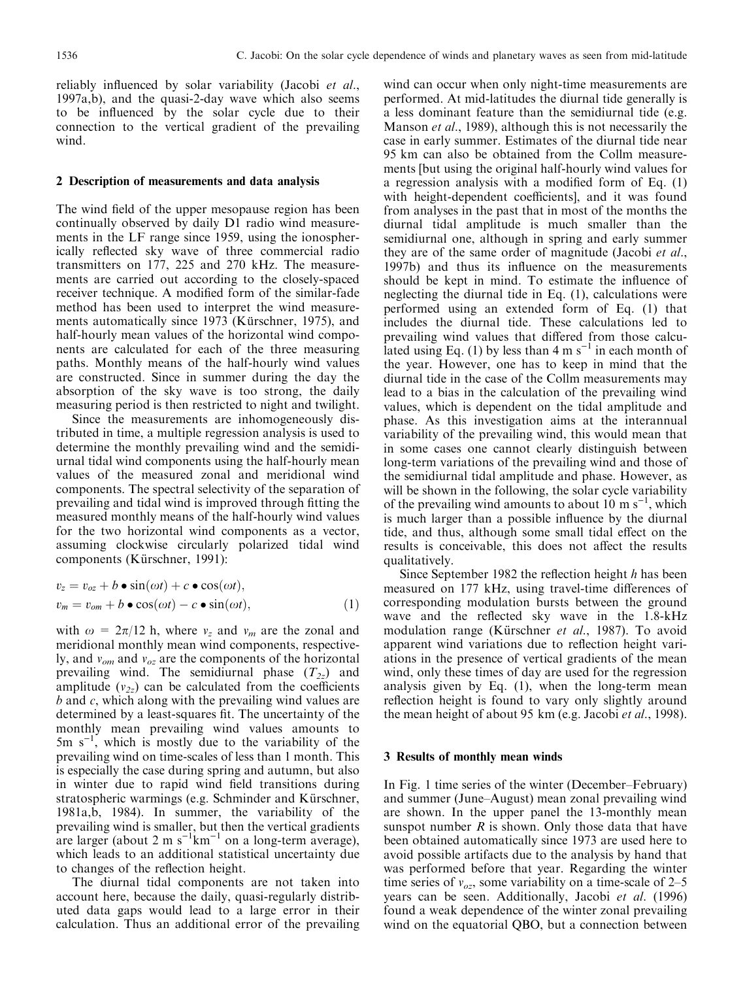reliably influenced by solar variability (Jacobi et al., 1997a,b), and the quasi-2-day wave which also seems to be influenced by the solar cycle due to their connection to the vertical gradient of the prevailing wind.

#### 2 Description of measurements and data analysis

The wind field of the upper mesopause region has been continually observed by daily D1 radio wind measurements in the LF range since 1959, using the ionospherically reflected sky wave of three commercial radio transmitters on 177, 225 and 270 kHz. The measurements are carried out according to the closely-spaced receiver technique. A modified form of the similar-fade method has been used to interpret the wind measurements automatically since 1973 (Kürschner, 1975), and half-hourly mean values of the horizontal wind components are calculated for each of the three measuring paths. Monthly means of the half-hourly wind values are constructed. Since in summer during the day the absorption of the sky wave is too strong, the daily measuring period is then restricted to night and twilight.

Since the measurements are inhomogeneously distributed in time, a multiple regression analysis is used to determine the monthly prevailing wind and the semidiurnal tidal wind components using the half-hourly mean values of the measured zonal and meridional wind components. The spectral selectivity of the separation of prevailing and tidal wind is improved through fitting the measured monthly means of the half-hourly wind values for the two horizontal wind components as a vector, assuming clockwise circularly polarized tidal wind components (Kürschner, 1991):

$$
v_z = v_{oz} + b \bullet \sin(\omega t) + c \bullet \cos(\omega t),
$$
  
\n
$$
v_m = v_{om} + b \bullet \cos(\omega t) - c \bullet \sin(\omega t),
$$
\n(1)

with  $\omega = 2\pi/12$  h, where  $v_z$  and  $v_m$  are the zonal and meridional monthly mean wind components, respectively, and  $v_{om}$  and  $v_{oz}$  are the components of the horizontal prevailing wind. The semidiurnal phase  $(T_{2z})$  and amplitude  $(v_{2z})$  can be calculated from the coefficients b and c, which along with the prevailing wind values are determined by a least-squares fit. The uncertainty of the monthly mean prevailing wind values amounts to 5m  $s^{-1}$ , which is mostly due to the variability of the prevailing wind on time-scales of less than 1 month. This is especially the case during spring and autumn, but also in winter due to rapid wind field transitions during stratospheric warmings (e.g. Schminder and Kürschner, 1981a,b, 1984). In summer, the variability of the prevailing wind is smaller, but then the vertical gradients are larger (about 2 m  $s^{-1}$ km<sup>-1</sup> on a long-term average), which leads to an additional statistical uncertainty due to changes of the reflection height.

The diurnal tidal components are not taken into account here, because the daily, quasi-regularly distributed data gaps would lead to a large error in their calculation. Thus an additional error of the prevailing

wind can occur when only night-time measurements are performed. At mid-latitudes the diurnal tide generally is a less dominant feature than the semidiurnal tide (e.g. Manson *et al.*, 1989), although this is not necessarily the case in early summer. Estimates of the diurnal tide near 95 km can also be obtained from the Collm measurements [but using the original half-hourly wind values for a regression analysis with a modified form of Eq.  $(1)$ with height-dependent coefficients], and it was found from analyses in the past that in most of the months the diurnal tidal amplitude is much smaller than the semidiurnal one, although in spring and early summer they are of the same order of magnitude (Jacobi et al., 1997b) and thus its influence on the measurements should be kept in mind. To estimate the influence of neglecting the diurnal tide in Eq. (1), calculations were performed using an extended form of Eq. (1) that includes the diurnal tide. These calculations led to prevailing wind values that differed from those calculated using Eq. (1) by less than  $4 \text{ m s}^{-1}$  in each month of the year. However, one has to keep in mind that the diurnal tide in the case of the Collm measurements may lead to a bias in the calculation of the prevailing wind values, which is dependent on the tidal amplitude and phase. As this investigation aims at the interannual variability of the prevailing wind, this would mean that in some cases one cannot clearly distinguish between long-term variations of the prevailing wind and those of the semidiurnal tidal amplitude and phase. However, as will be shown in the following, the solar cycle variability of the prevailing wind amounts to about  $10 \text{ m s}^{-1}$ , which is much larger than a possible influence by the diurnal tide, and thus, although some small tidal effect on the results is conceivable, this does not affect the results qualitatively.

Since September 1982 the reflection height  $h$  has been measured on 177 kHz, using travel-time differences of corresponding modulation bursts between the ground wave and the reflected sky wave in the 1.8-kHz modulation range (Kürschner *et al.*, 1987). To avoid apparent wind variations due to reflection height variations in the presence of vertical gradients of the mean wind, only these times of day are used for the regression analysis given by Eq. (1), when the long-term mean reflection height is found to vary only slightly around the mean height of about 95 km (e.g. Jacobi *et al.*, 1998).

### 3 Results of monthly mean winds

In Fig. 1 time series of the winter (December–February) and summer (June–August) mean zonal prevailing wind are shown. In the upper panel the 13-monthly mean sunspot number  $R$  is shown. Only those data that have been obtained automatically since 1973 are used here to avoid possible artifacts due to the analysis by hand that was performed before that year. Regarding the winter time series of  $v_{oz}$ , some variability on a time-scale of 2–5 years can be seen. Additionally, Jacobi et al. (1996) found a weak dependence of the winter zonal prevailing wind on the equatorial QBO, but a connection between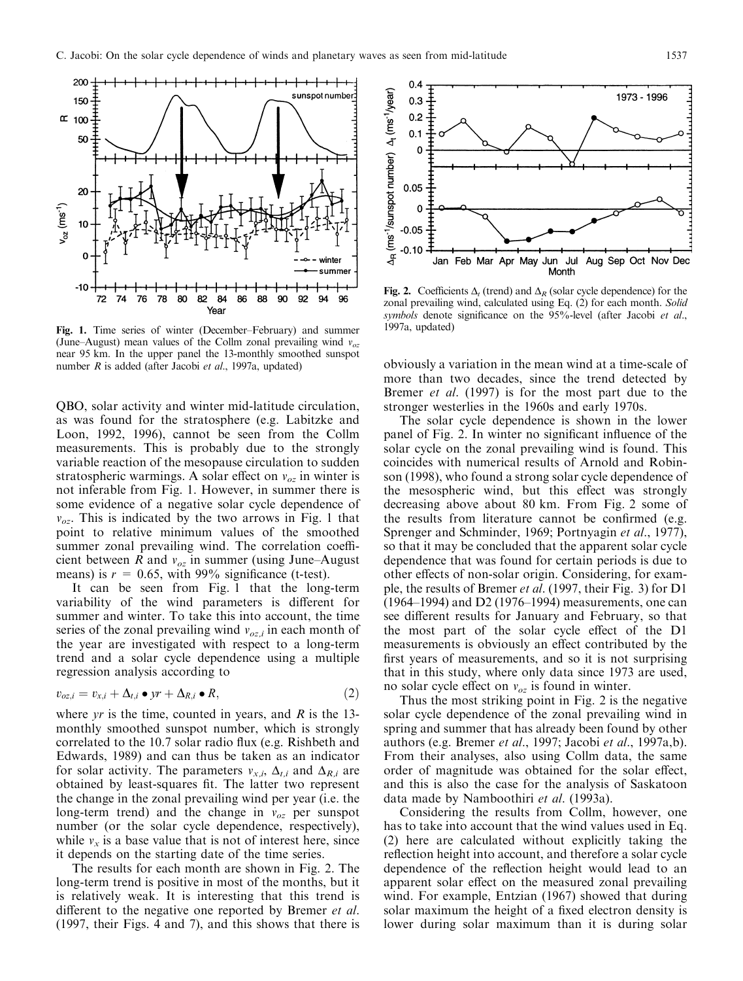

Fig. 1. Time series of winter (December–February) and summer (June–August) mean values of the Collm zonal prevailing wind  $v_{\alpha z}$ near 95 km. In the upper panel the 13-monthly smoothed sunspot number  $R$  is added (after Jacobi *et al.*, 1997a, updated)

QBO, solar activity and winter mid-latitude circulation, as was found for the stratosphere (e.g. Labitzke and Loon, 1992, 1996), cannot be seen from the Collm measurements. This is probably due to the strongly variable reaction of the mesopause circulation to sudden stratospheric warmings. A solar effect on  $v_{oz}$  in winter is not inferable from Fig. 1. However, in summer there is some evidence of a negative solar cycle dependence of  $v_{oz}$ . This is indicated by the two arrows in Fig. 1 that point to relative minimum values of the smoothed summer zonal prevailing wind. The correlation coefficient between R and  $v_{oz}$  in summer (using June–August means) is  $r = 0.65$ , with 99% significance (t-test).

It can be seen from Fig. 1 that the long-term variability of the wind parameters is different for summer and winter. To take this into account, the time series of the zonal prevailing wind  $v_{oz,i}$  in each month of the year are investigated with respect to a long-term trend and a solar cycle dependence using a multiple regression analysis according to

$$
v_{oz,i} = v_{x,i} + \Delta_{t,i} \bullet yr + \Delta_{R,i} \bullet R, \qquad (2)
$$

where yr is the time, counted in years, and  $R$  is the 13monthly smoothed sunspot number, which is strongly correlated to the 10.7 solar radio flux (e.g. Rishbeth and Edwards, 1989) and can thus be taken as an indicator for solar activity. The parameters  $v_{x,i}$ ,  $\Delta_{t,i}$  and  $\Delta_{R,i}$  are obtained by least-squares fit. The latter two represent the change in the zonal prevailing wind per year (i.e. the long-term trend) and the change in  $v_{oz}$  per sunspot number (or the solar cycle dependence, respectively), while  $v<sub>x</sub>$  is a base value that is not of interest here, since it depends on the starting date of the time series.

The results for each month are shown in Fig. 2. The long-term trend is positive in most of the months, but it is relatively weak. It is interesting that this trend is different to the negative one reported by Bremer et al. (1997, their Figs. 4 and 7), and this shows that there is



Fig. 2. Coefficients  $\Delta_t$  (trend) and  $\Delta_R$  (solar cycle dependence) for the zonal prevailing wind, calculated using Eq. (2) for each month. Solid symbols denote significance on the  $95\%$ -level (after Jacobi et al., 1997a, updated)

obviously a variation in the mean wind at a time-scale of more than two decades, since the trend detected by Bremer *et al.* (1997) is for the most part due to the stronger westerlies in the 1960s and early 1970s.

The solar cycle dependence is shown in the lower panel of Fig. 2. In winter no significant influence of the solar cycle on the zonal prevailing wind is found. This coincides with numerical results of Arnold and Robinson (1998), who found a strong solar cycle dependence of the mesospheric wind, but this effect was strongly decreasing above about 80 km. From Fig. 2 some of the results from literature cannot be confirmed (e.g. Sprenger and Schminder, 1969; Portnyagin et al., 1977), so that it may be concluded that the apparent solar cycle dependence that was found for certain periods is due to other effects of non-solar origin. Considering, for example, the results of Bremer et al. (1997, their Fig. 3) for D1  $(1964-1994)$  and D2 (1976–1994) measurements, one can see different results for January and February, so that the most part of the solar cycle effect of the D1 measurements is obviously an effect contributed by the first years of measurements, and so it is not surprising that in this study, where only data since 1973 are used, no solar cycle effect on  $v_{oz}$  is found in winter.

Thus the most striking point in Fig. 2 is the negative solar cycle dependence of the zonal prevailing wind in spring and summer that has already been found by other authors (e.g. Bremer et al., 1997; Jacobi et al., 1997a,b). From their analyses, also using Collm data, the same order of magnitude was obtained for the solar effect, and this is also the case for the analysis of Saskatoon data made by Namboothiri et al. (1993a).

Considering the results from Collm, however, one has to take into account that the wind values used in Eq. (2) here are calculated without explicitly taking the reflection height into account, and therefore a solar cycle dependence of the reflection height would lead to an apparent solar effect on the measured zonal prevailing wind. For example, Entzian (1967) showed that during solar maximum the height of a fixed electron density is lower during solar maximum than it is during solar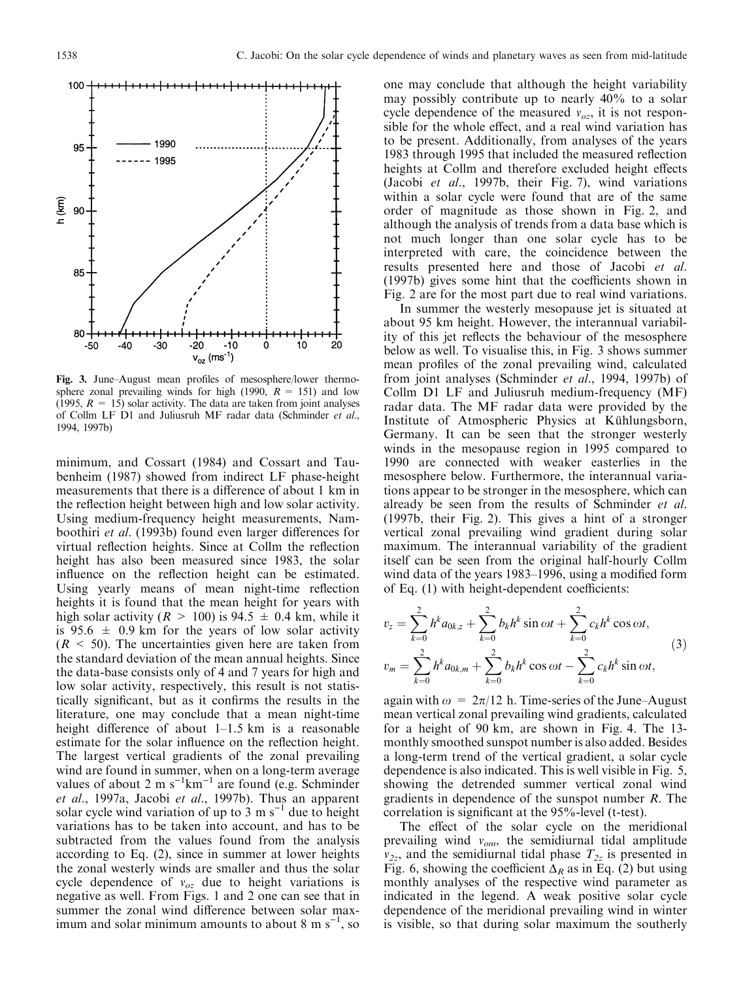

Fig. 3. June-August mean profiles of mesosphere/lower thermosphere zonal prevailing winds for high (1990,  $R = 151$ ) and low (1995,  $R = 15$ ) solar activity. The data are taken from joint analyses of Collm LF D1 and Juliusruh MF radar data (Schminder et al., 1994, 1997b)

minimum, and Cossart (1984) and Cossart and Taubenheim (1987) showed from indirect LF phase-height measurements that there is a difference of about 1 km in the reflection height between high and low solar activity. Using medium-frequency height measurements, Namboothiri et al. (1993b) found even larger differences for virtual reflection heights. Since at Collm the reflection height has also been measured since 1983, the solar influence on the reflection height can be estimated. Using yearly means of mean night-time reflection heights it is found that the mean height for years with high solar activity ( $R > 100$ ) is 94.5  $\pm$  0.4 km, while it is 95.6  $\pm$  0.9 km for the years of low solar activity  $(R < 50)$ . The uncertainties given here are taken from the standard deviation of the mean annual heights. Since the data-base consists only of 4 and 7 years for high and low solar activity, respectively, this result is not statistically significant, but as it confirms the results in the literature, one may conclude that a mean night-time height difference of about  $1-1.5$  km is a reasonable estimate for the solar influence on the reflection height. The largest vertical gradients of the zonal prevailing wind are found in summer, when on a long-term average values of about 2 m  $s^{-1}km^{-1}$  are found (e.g. Schminder et al., 1997a, Jacobi et al., 1997b). Thus an apparent solar cycle wind variation of up to 3 m  $s^{-1}$  due to height variations has to be taken into account, and has to be subtracted from the values found from the analysis according to Eq. (2), since in summer at lower heights the zonal westerly winds are smaller and thus the solar cycle dependence of  $v_{oz}$  due to height variations is negative as well. From Figs. 1 and 2 one can see that in summer the zonal wind difference between solar maximum and solar minimum amounts to about  $8 \text{ m s}^{-1}$ , so

one may conclude that although the height variability may possibly contribute up to nearly 40% to a solar cycle dependence of the measured  $v_{\alpha z}$ , it is not responsible for the whole effect, and a real wind variation has to be present. Additionally, from analyses of the years 1983 through 1995 that included the measured reflection heights at Collm and therefore excluded height effects (Jacobi et al., 1997b, their Fig. 7), wind variations within a solar cycle were found that are of the same order of magnitude as those shown in Fig. 2, and although the analysis of trends from a data base which is not much longer than one solar cycle has to be interpreted with care, the coincidence between the results presented here and those of Jacobi et al. (1997b) gives some hint that the coefficients shown in Fig. 2 are for the most part due to real wind variations.

In summer the westerly mesopause jet is situated at about 95 km height. However, the interannual variability of this jet reflects the behaviour of the mesosphere below as well. To visualise this, in Fig. 3 shows summer mean profiles of the zonal prevailing wind, calculated from joint analyses (Schminder et al., 1994, 1997b) of Collm D1 LF and Juliusruh medium-frequency (MF) radar data. The MF radar data were provided by the Institute of Atmospheric Physics at Kühlungsborn, Germany. It can be seen that the stronger westerly winds in the mesopause region in 1995 compared to 1990 are connected with weaker easterlies in the mesosphere below. Furthermore, the interannual variations appear to be stronger in the mesosphere, which can already be seen from the results of Schminder et al. (1997b, their Fig. 2). This gives a hint of a stronger vertical zonal prevailing wind gradient during solar maximum. The interannual variability of the gradient itself can be seen from the original half-hourly Collm wind data of the years  $1983-1996$ , using a modified form of Eq.  $(1)$  with height-dependent coefficients:

$$
v_z = \sum_{k=0}^{2} h^k a_{0k,z} + \sum_{k=0}^{2} b_k h^k \sin \omega t + \sum_{k=0}^{2} c_k h^k \cos \omega t,
$$
  

$$
v_m = \sum_{k=0}^{2} h^k a_{0k,m} + \sum_{k=0}^{2} b_k h^k \cos \omega t - \sum_{k=0}^{2} c_k h^k \sin \omega t,
$$
 (3)

again with  $\omega = 2\pi/12$  h. Time-series of the June–August mean vertical zonal prevailing wind gradients, calculated for a height of 90 km, are shown in Fig. 4. The 13 monthly smoothed sunspot number is also added. Besides a long-term trend of the vertical gradient, a solar cycle dependence is also indicated. This is well visible in Fig. 5, showing the detrended summer vertical zonal wind gradients in dependence of the sunspot number R. The correlation is significant at the  $95\%$ -level (t-test).

The effect of the solar cycle on the meridional prevailing wind  $v_{om}$ , the semidiurnal tidal amplitude  $v_{2z}$ , and the semidiurnal tidal phase  $T_{2z}$  is presented in Fig. 6, showing the coefficient  $\overline{\Delta}_R$  as in Eq. (2) but using monthly analyses of the respective wind parameter as indicated in the legend. A weak positive solar cycle dependence of the meridional prevailing wind in winter is visible, so that during solar maximum the southerly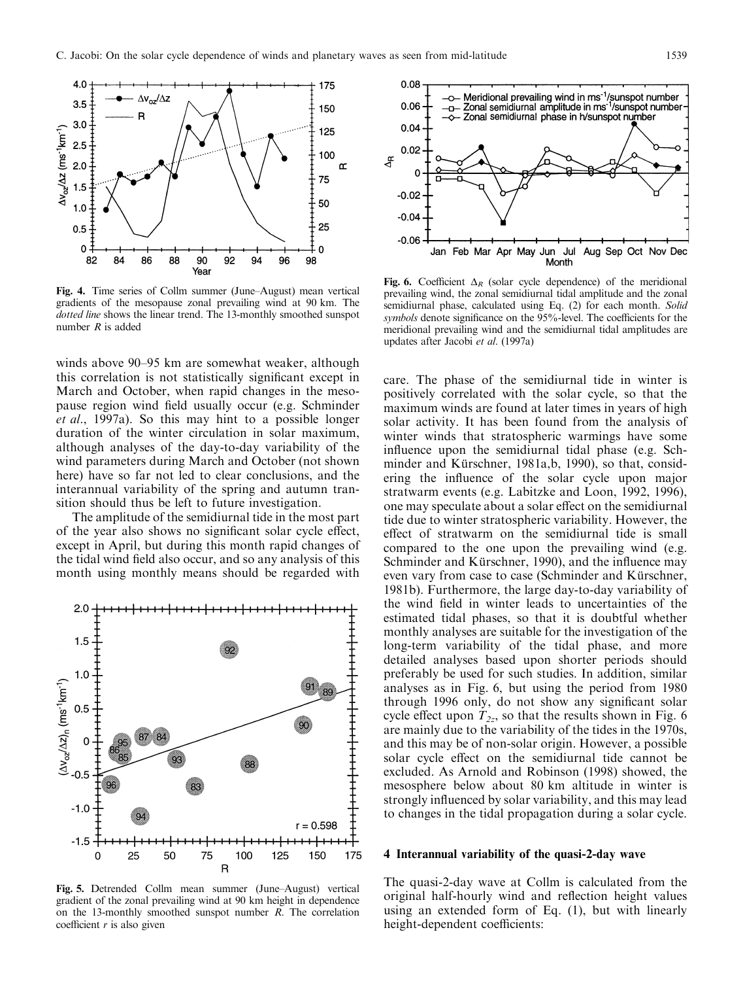

Fig. 4. Time series of Collm summer (June–August) mean vertical gradients of the mesopause zonal prevailing wind at 90 km. The dotted line shows the linear trend. The 13-monthly smoothed sunspot number  $R$  is added

winds above 90–95 km are somewhat weaker, although this correlation is not statistically significant except in March and October, when rapid changes in the mesopause region wind field usually occur (e.g. Schminder et al., 1997a). So this may hint to a possible longer duration of the winter circulation in solar maximum, although analyses of the day-to-day variability of the wind parameters during March and October (not shown here) have so far not led to clear conclusions, and the interannual variability of the spring and autumn transition should thus be left to future investigation.

The amplitude of the semidiurnal tide in the most part of the year also shows no significant solar cycle effect, except in April, but during this month rapid changes of the tidal wind field also occur, and so any analysis of this month using monthly means should be regarded with



Fig. 5. Detrended Collm mean summer (June-August) vertical gradient of the zonal prevailing wind at 90 km height in dependence on the 13-monthly smoothed sunspot number R. The correlation coefficient  $r$  is also given



Fig. 6. Coefficient  $\Delta_R$  (solar cycle dependence) of the meridional prevailing wind, the zonal semidiurnal tidal amplitude and the zonal semidiurnal phase, calculated using Eq. (2) for each month. Solid symbols denote significance on the 95%-level. The coefficients for the meridional prevailing wind and the semidiurnal tidal amplitudes are updates after Jacobi et al. (1997a)

care. The phase of the semidiurnal tide in winter is positively correlated with the solar cycle, so that the maximum winds are found at later times in years of high solar activity. It has been found from the analysis of winter winds that stratospheric warmings have some influence upon the semidiurnal tidal phase (e.g. Schminder and Kürschner, 1981a,b, 1990), so that, considering the influence of the solar cycle upon major stratwarm events (e.g. Labitzke and Loon, 1992, 1996), one may speculate about a solar effect on the semidiurnal tide due to winter stratospheric variability. However, the effect of stratwarm on the semidiurnal tide is small compared to the one upon the prevailing wind (e.g. Schminder and Kürschner, 1990), and the influence may even vary from case to case (Schminder and Kürschner, 1981b). Furthermore, the large day-to-day variability of the wind field in winter leads to uncertainties of the estimated tidal phases, so that it is doubtful whether monthly analyses are suitable for the investigation of the long-term variability of the tidal phase, and more detailed analyses based upon shorter periods should preferably be used for such studies. In addition, similar analyses as in Fig. 6, but using the period from 1980 through 1996 only, do not show any significant solar cycle effect upon  $T_{2z}$ , so that the results shown in Fig. 6 are mainly due to the variability of the tides in the 1970s, and this may be of non-solar origin. However, a possible solar cycle effect on the semidiurnal tide cannot be excluded. As Arnold and Robinson (1998) showed, the mesosphere below about 80 km altitude in winter is strongly influenced by solar variability, and this may lead to changes in the tidal propagation during a solar cycle.

## 4 Interannual variability of the quasi-2-day wave

The quasi-2-day wave at Collm is calculated from the original half-hourly wind and reflection height values using an extended form of Eq. (1), but with linearly height-dependent coefficients: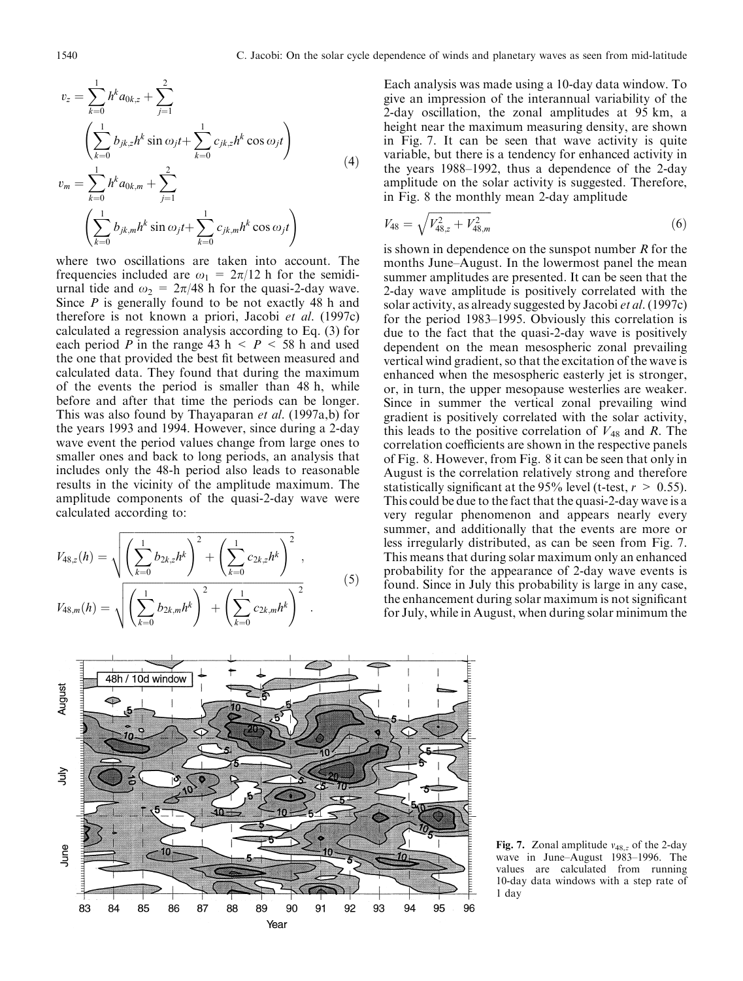$$
v_z = \sum_{k=0}^{1} h^k a_{0k,z} + \sum_{j=1}^{2}
$$
  

$$
\left(\sum_{k=0}^{1} b_{jk,z} h^k \sin \omega_j t + \sum_{k=0}^{1} c_{jk,z} h^k \cos \omega_j t\right)
$$
  

$$
v_m = \sum_{k=0}^{1} h^k a_{0k,m} + \sum_{j=1}^{2}
$$
  

$$
\left(\sum_{k=0}^{1} b_{jk,m} h^k \sin \omega_j t + \sum_{k=0}^{1} c_{jk,m} h^k \cos \omega_j t\right)
$$
  
(4)

where two oscillations are taken into account. The frequencies included are  $\omega_1 = 2\pi/12$  h for the semidiurnal tide and  $\omega_2 = 2\pi/48$  h for the quasi-2-day wave. Since  $P$  is generally found to be not exactly 48 h and therefore is not known a priori, Jacobi et al. (1997c) calculated a regression analysis according to Eq. (3) for each period P in the range 43 h  $\lt P \lt 58$  h and used the one that provided the best fit between measured and calculated data. They found that during the maximum of the events the period is smaller than 48 h, while before and after that time the periods can be longer. This was also found by Thayaparan et al. (1997a,b) for the years 1993 and 1994. However, since during a 2-day wave event the period values change from large ones to smaller ones and back to long periods, an analysis that includes only the 48-h period also leads to reasonable results in the vicinity of the amplitude maximum. The amplitude components of the quasi-2-day wave were calculated according to:

$$
V_{48,z}(h) = \sqrt{\left(\sum_{k=0}^{1} b_{2k,z} h^k\right)^2 + \left(\sum_{k=0}^{1} c_{2k,z} h^k\right)^2},
$$
  

$$
V_{48,m}(h) = \sqrt{\left(\sum_{k=0}^{1} b_{2k,m} h^k\right)^2 + \left(\sum_{k=0}^{1} c_{2k,m} h^k\right)^2}.
$$
 (5)

Each analysis was made using a 10-day data window. To give an impression of the interannual variability of the 2-day oscillation, the zonal amplitudes at 95 km, a height near the maximum measuring density, are shown in Fig. 7. It can be seen that wave activity is quite variable, but there is a tendency for enhanced activity in the years  $1988-1992$ , thus a dependence of the 2-day amplitude on the solar activity is suggested. Therefore, in Fig. 8 the monthly mean 2-day amplitude

$$
V_{48} = \sqrt{V_{48,z}^2 + V_{48,m}^2}
$$
 (6)

is shown in dependence on the sunspot number  *for the* months June-August. In the lowermost panel the mean summer amplitudes are presented. It can be seen that the 2-day wave amplitude is positively correlated with the solar activity, as already suggested by Jacobi et al. (1997c) for the period 1983–1995. Obviously this correlation is due to the fact that the quasi-2-day wave is positively dependent on the mean mesospheric zonal prevailing vertical wind gradient, so that the excitation of the wave is enhanced when the mesospheric easterly jet is stronger, or, in turn, the upper mesopause westerlies are weaker. Since in summer the vertical zonal prevailing wind gradient is positively correlated with the solar activity, this leads to the positive correlation of  $V_{48}$  and R. The correlation coefficients are shown in the respective panels of Fig. 8. However, from Fig. 8 it can be seen that only in August is the correlation relatively strong and therefore statistically significant at the 95% level (t-test,  $r > 0.55$ ). This could be due to the fact that the quasi-2-day wave is a very regular phenomenon and appears nearly every summer, and additionally that the events are more or less irregularly distributed, as can be seen from Fig. 7. This means that during solar maximum only an enhanced probability for the appearance of 2-day wave events is found. Since in July this probability is large in any case, the enhancement during solar maximum is not significant for July, while in August, when during solar minimum the



Fig. 7. Zonal amplitude  $v_{48,z}$  of the 2-day wave in June-August 1983-1996. The values are calculated from running 10-day data windows with a step rate of 1 day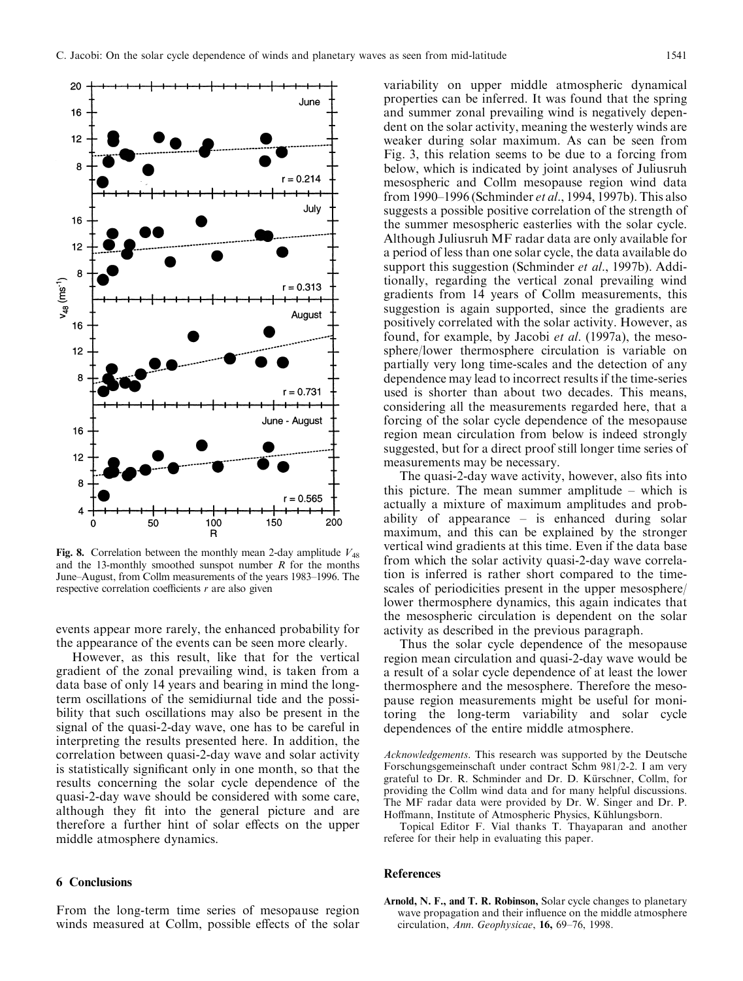

Fig. 8. Correlation between the monthly mean 2-day amplitude  $V_{48}$ and the 13-monthly smoothed sunspot number  $R$  for the months June-August, from Collm measurements of the years 1983-1996. The respective correlation coefficients  $r$  are also given

events appear more rarely, the enhanced probability for the appearance of the events can be seen more clearly.

However, as this result, like that for the vertical gradient of the zonal prevailing wind, is taken from a data base of only 14 years and bearing in mind the longterm oscillations of the semidiurnal tide and the possibility that such oscillations may also be present in the signal of the quasi-2-day wave, one has to be careful in interpreting the results presented here. In addition, the correlation between quasi-2-day wave and solar activity is statistically significant only in one month, so that the results concerning the solar cycle dependence of the quasi-2-day wave should be considered with some care, although they fit into the general picture and are therefore a further hint of solar effects on the upper middle atmosphere dynamics.

#### 6 Conclusions

From the long-term time series of mesopause region winds measured at Collm, possible effects of the solar

variability on upper middle atmospheric dynamical properties can be inferred. It was found that the spring and summer zonal prevailing wind is negatively dependent on the solar activity, meaning the westerly winds are weaker during solar maximum. As can be seen from Fig. 3, this relation seems to be due to a forcing from below, which is indicated by joint analyses of Juliusruh mesospheric and Collm mesopause region wind data from 1990–1996 (Schminder et al., 1994, 1997b). This also suggests a possible positive correlation of the strength of the summer mesospheric easterlies with the solar cycle. Although Juliusruh MF radar data are only available for a period of less than one solar cycle, the data available do support this suggestion (Schminder *et al.*, 1997b). Additionally, regarding the vertical zonal prevailing wind gradients from 14 years of Collm measurements, this suggestion is again supported, since the gradients are positively correlated with the solar activity. However, as found, for example, by Jacobi et al. (1997a), the mesosphere/lower thermosphere circulation is variable on partially very long time-scales and the detection of any dependence may lead to incorrect results if the time-series used is shorter than about two decades. This means, considering all the measurements regarded here, that a forcing of the solar cycle dependence of the mesopause region mean circulation from below is indeed strongly suggested, but for a direct proof still longer time series of measurements may be necessary.

The quasi-2-day wave activity, however, also fits into this picture. The mean summer amplitude  $-\text{ which is}$ actually a mixture of maximum amplitudes and probability of appearance  $-\text{ is enhanced during solar}$ maximum, and this can be explained by the stronger vertical wind gradients at this time. Even if the data base from which the solar activity quasi-2-day wave correlation is inferred is rather short compared to the timescales of periodicities present in the upper mesosphere/ lower thermosphere dynamics, this again indicates that the mesospheric circulation is dependent on the solar activity as described in the previous paragraph.

Thus the solar cycle dependence of the mesopause region mean circulation and quasi-2-day wave would be a result of a solar cycle dependence of at least the lower thermosphere and the mesosphere. Therefore the mesopause region measurements might be useful for monitoring the long-term variability and solar cycle dependences of the entire middle atmosphere.

Acknowledgements. This research was supported by the Deutsche Forschungsgemeinschaft under contract Schm 981/2-2. I am very grateful to Dr. R. Schminder and Dr. D. Kürschner, Collm, for providing the Collm wind data and for many helpful discussions. The MF radar data were provided by Dr. W. Singer and Dr. P. Hoffmann, Institute of Atmospheric Physics, Kühlungsborn.

Topical Editor F. Vial thanks T. Thayaparan and another referee for their help in evaluating this paper.

#### References

Arnold, N. F., and T. R. Robinson, Solar cycle changes to planetary wave propagation and their influence on the middle atmosphere circulation, Ann. Geophysicae,  $16, 69-76, 1998$ .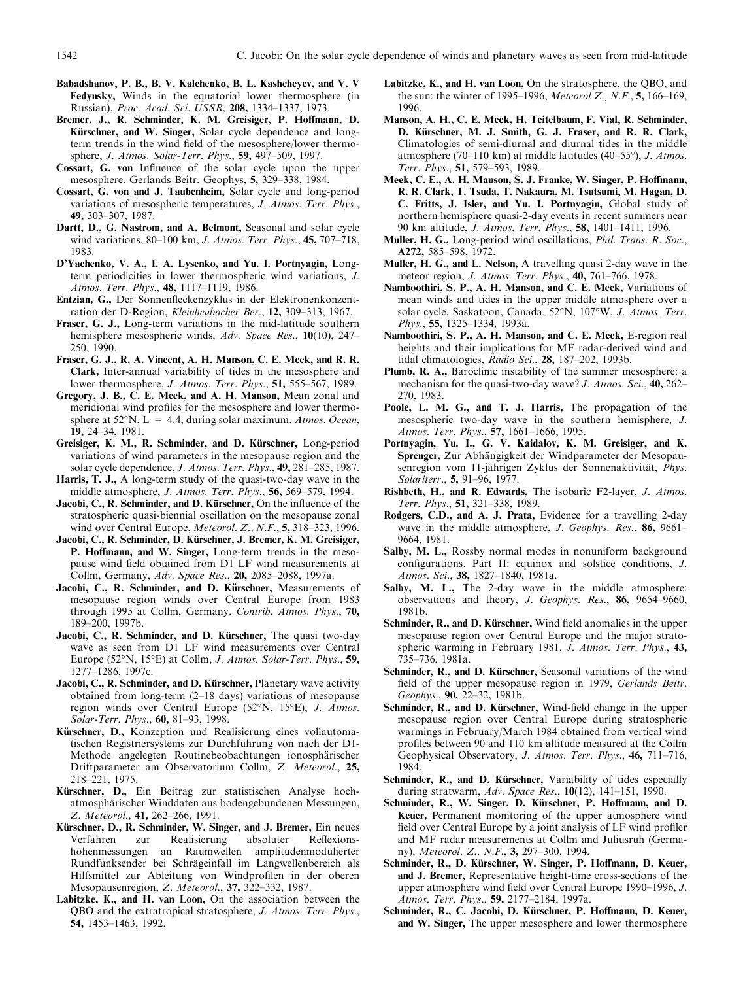- Babadshanov, P. B., B. V. Kalchenko, B. L. Kashcheyev, and V. V Fedynsky, Winds in the equatorial lower thermosphere (in Russian), Proc. Acad. Sci. USSR, 208, 1334-1337, 1973.
- Bremer, J., R. Schminder, K. M. Greisiger, P. Hoffmann, D. Kürschner, and W. Singer, Solar cycle dependence and longterm trends in the wind field of the mesosphere/lower thermosphere, *J. Atmos. Solar-Terr. Phys.*, **59,** 497–509, 1997.
- Cossart, G. von Influence of the solar cycle upon the upper mesosphere. Gerlands Beitr. Geophys, 5, 329-338, 1984.
- Cossart, G. von and J. Taubenheim, Solar cycle and long-period variations of mesospheric temperatures, J. Atmos. Terr. Phys., 49, 303±307, 1987.
- Dartt, D., G. Nastrom, and A. Belmont, Seasonal and solar cycle wind variations,  $80-100$  km, *J. Atmos. Terr. Phys.*,  $45$ ,  $707-718$ , 1983.
- D'Yachenko, V. A., I. A. Lysenko, and Yu. I. Portnyagin, Longterm periodicities in lower thermospheric wind variations, J. Atmos. Terr. Phys., 48, 1117-1119, 1986.
- Entzian, G., Der Sonnenfleckenzyklus in der Elektronenkonzentration der D-Region, Kleinheubacher Ber., 12, 309-313, 1967.
- Fraser, G. J., Long-term variations in the mid-latitude southern hemisphere mesospheric winds, Adv. Space Res., 10(10), 247-250, 1990.
- Fraser, G. J., R. A. Vincent, A. H. Manson, C. E. Meek, and R. R. Clark, Inter-annual variability of tides in the mesosphere and lower thermosphere, J. Atmos. Terr. Phys., 51, 555-567, 1989.
- Gregory, J. B., C. E. Meek, and A. H. Manson, Mean zonal and meridional wind profiles for the mesosphere and lower thermosphere at 52°N, L = 4.4, during solar maximum. Atmos. Ocean, 19, 24±34, 1981.
- Greisiger, K. M., R. Schminder, and D. Kürschner, Long-period variations of wind parameters in the mesopause region and the solar cycle dependence, J. Atmos. Terr. Phys., 49, 281-285, 1987.
- Harris, T. J., A long-term study of the quasi-two-day wave in the middle atmosphere, J. Atmos. Terr. Phys., 56, 569-579, 1994.
- Jacobi, C., R. Schminder, and D. Kürschner, On the influence of the stratospheric quasi-biennial oscillation on the mesopause zonal wind over Central Europe, *Meteorol.* Z., N.F.,  $5, 318-323, 1996$ .
- Jacobi, C., R. Schminder, D. Kürschner, J. Bremer, K. M. Greisiger, P. Hoffmann, and W. Singer, Long-term trends in the mesopause wind field obtained from D1 LF wind measurements at Collm, Germany, Adv. Space Res., 20, 2085-2088, 1997a.
- Jacobi, C., R. Schminder, and D. Kürschner, Measurements of mesopause region winds over Central Europe from 1983 through 1995 at Collm, Germany. Contrib. Atmos. Phys., 70, 189±200, 1997b.
- Jacobi, C., R. Schminder, and D. Kürschner, The quasi two-day wave as seen from D1 LF wind measurements over Central Europe (52°N, 15°E) at Collm, J. Atmos. Solar-Terr. Phys., 59, 1277±1286, 1997c.
- Jacobi, C., R. Schminder, and D. Kürschner, Planetary wave activity obtained from long-term  $(2-18 \text{ days})$  variations of mesopause region winds over Central Europe (52°N, 15°E), J. Atmos. Solar-Terr. Phys., 60, 81-93, 1998.
- Kürschner, D., Konzeption und Realisierung eines vollautomatischen Registriersystems zur Durchführung von nach der D1-Methode angelegten Routinebeobachtungen ionosphärischer Driftparameter am Observatorium Collm, Z. Meteorol., 25, 218±221, 1975.
- Kürschner, D., Ein Beitrag zur statistischen Analyse hochatmosphärischer Winddaten aus bodengebundenen Messungen, Z. Meteorol., 41, 262-266, 1991.
- Kürschner, D., R. Schminder, W. Singer, and J. Bremer, Ein neues Verfahren zur Realisierung absoluter Reflexionshöhenmessungen an Raumwellen amplitudenmodulierter Rundfunksender bei Schrägeinfall im Langwellenbereich als Hilfsmittel zur Ableitung von Windprofilen in der oberen Mesopausenregion, Z. Meteorol., 37, 322-332, 1987.
- Labitzke, K., and H. van Loon, On the association between the QBO and the extratropical stratosphere, J. Atmos. Terr. Phys., 54, 1453±1463, 1992.
- Labitzke, K., and H. van Loon, On the stratosphere, the QBO, and the sun: the winter of 1995–1996, Meteorol Z., N.F.,  $5, 166-169$ , 1996.
- Manson, A. H., C. E. Meek, H. Teitelbaum, F. Vial, R. Schminder, D. Kürschner, M. J. Smith, G. J. Fraser, and R. R. Clark, Climatologies of semi-diurnal and diurnal tides in the middle atmosphere (70–110 km) at middle latitudes (40–55°), J. Atmos. Terr. Phys., 51, 579-593, 1989.
- Meek, C. E., A. H. Manson, S. J. Franke, W. Singer, P. Hoffmann, R. R. Clark, T. Tsuda, T. Nakaura, M. Tsutsumi, M. Hagan, D. C. Fritts, J. Isler, and Yu. I. Portnyagin, Global study of northern hemisphere quasi-2-day events in recent summers near 90 km altitude, *J. Atmos. Terr. Phys.*, **58**, 1401-1411, 1996.
- Muller, H. G., Long-period wind oscillations, *Phil. Trans. R. Soc.*, A272, 585-598, 1972.
- Muller, H. G., and L. Nelson, A travelling quasi 2-day wave in the meteor region, *J. Atmos. Terr. Phys.*, **40,** 761-766, 1978.
- Namboothiri, S. P., A. H. Manson, and C. E. Meek, Variations of mean winds and tides in the upper middle atmosphere over a solar cycle, Saskatoon, Canada, 52°N, 107°W, J. Atmos. Terr. Phys., 55, 1325-1334, 1993a.
- Namboothiri, S. P., A. H. Manson, and C. E. Meek, E-region real heights and their implications for MF radar-derived wind and tidal climatologies, Radio Sci., 28, 187-202, 1993b.
- Plumb, R. A., Baroclinic instability of the summer mesosphere: a mechanism for the quasi-two-day wave? J. Atmos. Sci., 40, 262-270, 1983.
- Poole, L. M. G., and T. J. Harris, The propagation of the mesospheric two-day wave in the southern hemisphere, J. Atmos. Terr. Phys., 57, 1661-1666, 1995.
- Portnyagin, Yu. I., G. V. Kaidalov, K. M. Greisiger, and K. Sprenger, Zur Abhängigkeit der Windparameter der Mesopausenregion vom 11-jährigen Zyklus der Sonnenaktivität, Phys. Solariterr., 5, 91-96, 1977.
- Rishbeth, H., and R. Edwards, The isobaric F2-layer, J. Atmos. Terr. Phys., 51, 321-338, 1989.
- Rodgers, C.D., and A. J. Prata, Evidence for a travelling 2-day wave in the middle atmosphere,  $J. Geophys. Res., 86, 9661-$ 9664, 1981.
- Salby, M. L., Rossby normal modes in nonuniform background configurations. Part II: equinox and solstice conditions, J. Atmos. Sci., 38, 1827-1840, 1981a.
- Salby, M. L., The 2-day wave in the middle atmosphere: observations and theory, J. Geophys. Res., 86, 9654-9660, 1981b.
- Schminder, R., and D. Kürschner, Wind field anomalies in the upper mesopause region over Central Europe and the major stratospheric warming in February 1981, J. Atmos. Terr. Phys., 43, 735±736, 1981a.
- Schminder, R., and D. Kürschner, Seasonal variations of the wind field of the upper mesopause region in 1979, Gerlands Beitr. Geophys., 90, 22–32, 1981b.
- Schminder, R., and D. Kürschner, Wind-field change in the upper mesopause region over Central Europe during stratospheric warmings in February/March 1984 obtained from vertical wind profiles between 90 and 110 km altitude measured at the Collm Geophysical Observatory, J. Atmos. Terr. Phys., 46, 711-716, 1984.
- Schminder, R., and D. Kürschner, Variability of tides especially during stratwarm, Adv. Space Res., 10(12), 141-151, 1990.
- Schminder, R., W. Singer, D. Kürschner, P. Hoffmann, and D. Keuer, Permanent monitoring of the upper atmosphere wind field over Central Europe by a joint analysis of LF wind profiler and MF radar measurements at Collm and Juliusruh (Germany), Meteorol. Z., N.F., 3, 297-300, 1994.
- Schminder, R., D. Kürschner, W. Singer, P. Hoffmann, D. Keuer, and J. Bremer, Representative height-time cross-sections of the upper atmosphere wind field over Central Europe 1990-1996, J. Atmos. Terr. Phys., 59, 2177-2184, 1997a.
- Schminder, R., C. Jacobi, D. Kürschner, P. Hoffmann, D. Keuer, and W. Singer, The upper mesosphere and lower thermosphere